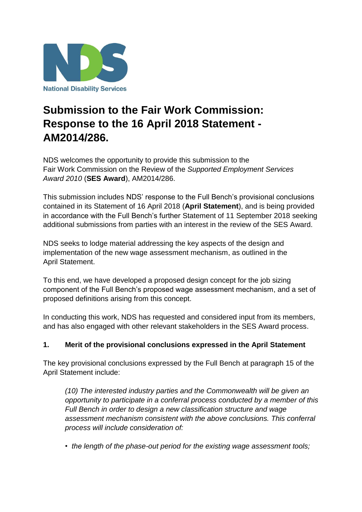

# **Submission to the Fair Work Commission: Response to the 16 April 2018 Statement - AM2014/286.**

NDS welcomes the opportunity to provide this submission to the Fair Work Commission on the Review of the *Supported Employment Services Award 2010* (**SES Award**), AM2014/286.

This submission includes NDS' response to the Full Bench's provisional conclusions contained in its Statement of 16 April 2018 (**April Statement**), and is being provided in accordance with the Full Bench's further Statement of 11 September 2018 seeking additional submissions from parties with an interest in the review of the SES Award.

NDS seeks to lodge material addressing the key aspects of the design and implementation of the new wage assessment mechanism, as outlined in the April Statement.

To this end, we have developed a proposed design concept for the job sizing component of the Full Bench's proposed wage assessment mechanism, and a set of proposed definitions arising from this concept.

In conducting this work, NDS has requested and considered input from its members, and has also engaged with other relevant stakeholders in the SES Award process.

### **1. Merit of the provisional conclusions expressed in the April Statement**

The key provisional conclusions expressed by the Full Bench at paragraph 15 of the April Statement include:

*(10) The interested industry parties and the Commonwealth will be given an opportunity to participate in a conferral process conducted by a member of this Full Bench in order to design a new classification structure and wage assessment mechanism consistent with the above conclusions. This conferral process will include consideration of:*

*• the length of the phase-out period for the existing wage assessment tools;*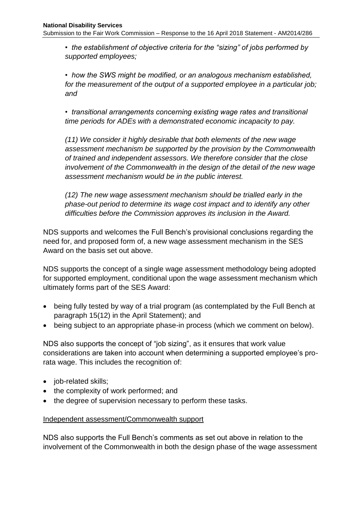*• the establishment of objective criteria for the "sizing" of jobs performed by supported employees;*

*• how the SWS might be modified, or an analogous mechanism established, for the measurement of the output of a supported employee in a particular job; and*

*• transitional arrangements concerning existing wage rates and transitional time periods for ADEs with a demonstrated economic incapacity to pay.*

*(11) We consider it highly desirable that both elements of the new wage assessment mechanism be supported by the provision by the Commonwealth of trained and independent assessors. We therefore consider that the close involvement of the Commonwealth in the design of the detail of the new wage assessment mechanism would be in the public interest.*

*(12) The new wage assessment mechanism should be trialled early in the phase-out period to determine its wage cost impact and to identify any other difficulties before the Commission approves its inclusion in the Award.*

NDS supports and welcomes the Full Bench's provisional conclusions regarding the need for, and proposed form of, a new wage assessment mechanism in the SES Award on the basis set out above.

NDS supports the concept of a single wage assessment methodology being adopted for supported employment, conditional upon the wage assessment mechanism which ultimately forms part of the SES Award:

- being fully tested by way of a trial program (as contemplated by the Full Bench at paragraph 15(12) in the April Statement); and
- being subject to an appropriate phase-in process (which we comment on below).

NDS also supports the concept of "job sizing", as it ensures that work value considerations are taken into account when determining a supported employee's prorata wage. This includes the recognition of:

- job-related skills;
- the complexity of work performed; and
- the degree of supervision necessary to perform these tasks.

### Independent assessment/Commonwealth support

NDS also supports the Full Bench's comments as set out above in relation to the involvement of the Commonwealth in both the design phase of the wage assessment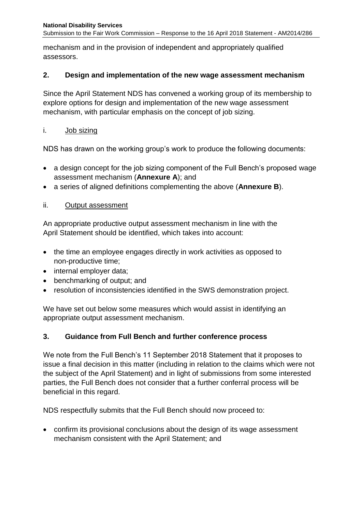mechanism and in the provision of independent and appropriately qualified assessors.

### **2. Design and implementation of the new wage assessment mechanism**

Since the April Statement NDS has convened a working group of its membership to explore options for design and implementation of the new wage assessment mechanism, with particular emphasis on the concept of job sizing.

### i. Job sizing

NDS has drawn on the working group's work to produce the following documents:

- a design concept for the job sizing component of the Full Bench's proposed wage assessment mechanism (**Annexure A**); and
- a series of aligned definitions complementing the above (**Annexure B**).

### ii. Output assessment

An appropriate productive output assessment mechanism in line with the April Statement should be identified, which takes into account:

- the time an employee engages directly in work activities as opposed to non-productive time;
- internal employer data;
- benchmarking of output; and
- resolution of inconsistencies identified in the SWS demonstration project.

We have set out below some measures which would assist in identifying an appropriate output assessment mechanism.

### **3. Guidance from Full Bench and further conference process**

We note from the Full Bench's 11 September 2018 Statement that it proposes to issue a final decision in this matter (including in relation to the claims which were not the subject of the April Statement) and in light of submissions from some interested parties, the Full Bench does not consider that a further conferral process will be beneficial in this regard.

NDS respectfully submits that the Full Bench should now proceed to:

 confirm its provisional conclusions about the design of its wage assessment mechanism consistent with the April Statement; and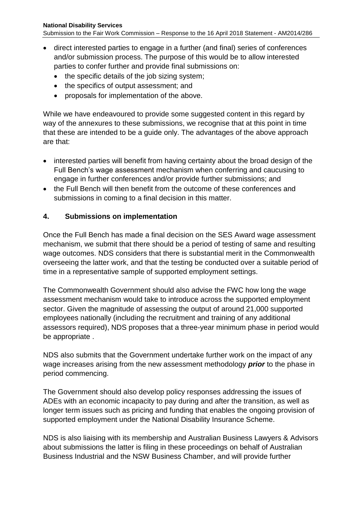- direct interested parties to engage in a further (and final) series of conferences and/or submission process. The purpose of this would be to allow interested parties to confer further and provide final submissions on:
	- the specific details of the job sizing system;
	- the specifics of output assessment; and
	- proposals for implementation of the above.

While we have endeavoured to provide some suggested content in this regard by way of the annexures to these submissions, we recognise that at this point in time that these are intended to be a guide only. The advantages of the above approach are that:

- interested parties will benefit from having certainty about the broad design of the Full Bench's wage assessment mechanism when conferring and caucusing to engage in further conferences and/or provide further submissions; and
- the Full Bench will then benefit from the outcome of these conferences and submissions in coming to a final decision in this matter.

### **4. Submissions on implementation**

Once the Full Bench has made a final decision on the SES Award wage assessment mechanism, we submit that there should be a period of testing of same and resulting wage outcomes. NDS considers that there is substantial merit in the Commonwealth overseeing the latter work, and that the testing be conducted over a suitable period of time in a representative sample of supported employment settings.

The Commonwealth Government should also advise the FWC how long the wage assessment mechanism would take to introduce across the supported employment sector. Given the magnitude of assessing the output of around 21,000 supported employees nationally (including the recruitment and training of any additional assessors required), NDS proposes that a three-year minimum phase in period would be appropriate .

NDS also submits that the Government undertake further work on the impact of any wage increases arising from the new assessment methodology *prior* to the phase in period commencing.

The Government should also develop policy responses addressing the issues of ADEs with an economic incapacity to pay during and after the transition, as well as longer term issues such as pricing and funding that enables the ongoing provision of supported employment under the National Disability Insurance Scheme.

NDS is also liaising with its membership and Australian Business Lawyers & Advisors about submissions the latter is filing in these proceedings on behalf of Australian Business Industrial and the NSW Business Chamber, and will provide further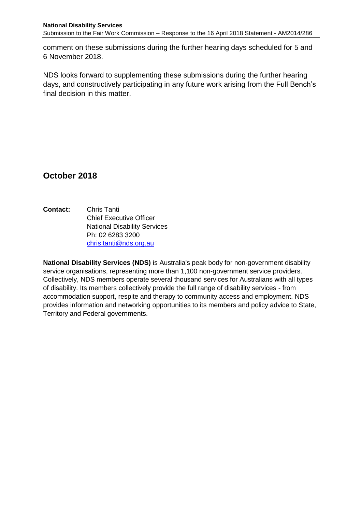comment on these submissions during the further hearing days scheduled for 5 and 6 November 2018.

NDS looks forward to supplementing these submissions during the further hearing days, and constructively participating in any future work arising from the Full Bench's final decision in this matter.

## **October 2018**

**Contact:** Chris Tanti Chief Executive Officer National Disability Services Ph: 02 6283 3200 [chris.tanti@nds.org.au](mailto:chris.tanti@nds.org.au)

**National Disability Services (NDS)** is Australia's peak body for non-government disability service organisations, representing more than 1,100 non-government service providers. Collectively, NDS members operate several thousand services for Australians with all types of disability. Its members collectively provide the full range of disability services - from accommodation support, respite and therapy to community access and employment. NDS provides information and networking opportunities to its members and policy advice to State, Territory and Federal governments.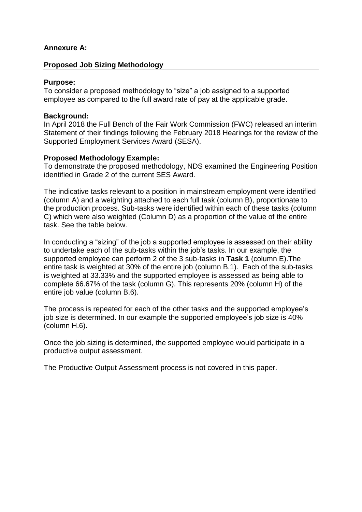### **Annexure A:**

### **Proposed Job Sizing Methodology**

### **Purpose:**

To consider a proposed methodology to "size" a job assigned to a supported employee as compared to the full award rate of pay at the applicable grade.

### **Background:**

In April 2018 the Full Bench of the Fair Work Commission (FWC) released an interim Statement of their findings following the February 2018 Hearings for the review of the Supported Employment Services Award (SESA).

### **Proposed Methodology Example:**

To demonstrate the proposed methodology, NDS examined the Engineering Position identified in Grade 2 of the current SES Award.

The indicative tasks relevant to a position in mainstream employment were identified (column A) and a weighting attached to each full task (column B), proportionate to the production process. Sub-tasks were identified within each of these tasks (column C) which were also weighted (Column D) as a proportion of the value of the entire task. See the table below.

In conducting a "sizing" of the job a supported employee is assessed on their ability to undertake each of the sub-tasks within the job's tasks. In our example, the supported employee can perform 2 of the 3 sub-tasks in **Task 1** (column E).The entire task is weighted at 30% of the entire job (column B.1). Each of the sub-tasks is weighted at 33.33% and the supported employee is assessed as being able to complete 66.67% of the task (column G). This represents 20% (column H) of the entire job value (column B.6).

The process is repeated for each of the other tasks and the supported employee's job size is determined. In our example the supported employee's job size is 40% (column H.6).

Once the job sizing is determined, the supported employee would participate in a productive output assessment.

The Productive Output Assessment process is not covered in this paper.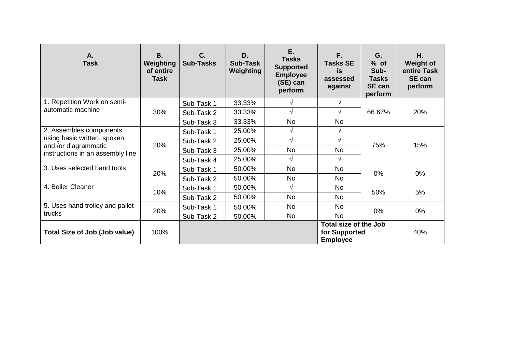| A.<br><b>Task</b>                                                                                                  | В.<br>Weighting<br>of entire<br><b>Task</b> | C.<br><b>Sub-Tasks</b>                                           | D.<br>Sub-Task<br>Weighting | E.<br><b>Tasks</b><br><b>Supported</b><br><b>Employee</b><br>(SE) can<br>perform | F.<br><b>Tasks SE</b><br>is<br>assessed<br>against | G.<br>$%$ of<br>Sub-<br><b>Tasks</b><br><b>SE can</b><br>perform | Η.<br><b>Weight of</b><br>entire Task<br>SE can<br>perform |
|--------------------------------------------------------------------------------------------------------------------|---------------------------------------------|------------------------------------------------------------------|-----------------------------|----------------------------------------------------------------------------------|----------------------------------------------------|------------------------------------------------------------------|------------------------------------------------------------|
| 1. Repetition Work on semi-<br>automatic machine                                                                   | 30%                                         | Sub-Task 1                                                       | 33.33%                      | V                                                                                | V                                                  | 66.67%                                                           | 20%                                                        |
|                                                                                                                    |                                             | Sub-Task 2                                                       | 33.33%                      | V                                                                                |                                                    |                                                                  |                                                            |
|                                                                                                                    |                                             | Sub-Task 3                                                       | 33.33%                      | No                                                                               | <b>No</b>                                          |                                                                  |                                                            |
| 2. Assembles components<br>using basic written, spoken<br>and /or diagrammatic<br>instructions in an assembly line | 20%                                         | Sub-Task 1                                                       | 25.00%                      | V                                                                                | ٦                                                  | 75%                                                              | 15%                                                        |
|                                                                                                                    |                                             | Sub-Task 2                                                       | 25.00%                      | $\sqrt{ }$                                                                       | $\sqrt{}$                                          |                                                                  |                                                            |
|                                                                                                                    |                                             | Sub-Task 3                                                       | 25.00%                      | No                                                                               | <b>No</b>                                          |                                                                  |                                                            |
|                                                                                                                    |                                             | Sub-Task 4                                                       | 25.00%                      | V                                                                                |                                                    |                                                                  |                                                            |
| 3. Uses selected hand tools                                                                                        | 20%                                         | Sub-Task 1                                                       | 50.00%                      | No                                                                               | <b>No</b>                                          | $0\%$                                                            | 0%                                                         |
|                                                                                                                    |                                             | Sub-Task 2                                                       | 50.00%                      | No                                                                               | <b>No</b>                                          |                                                                  |                                                            |
| 4. Boiler Cleaner                                                                                                  | 10%                                         | Sub-Task 1                                                       | 50.00%                      | $\sqrt{}$                                                                        | <b>No</b>                                          | 50%                                                              | 5%                                                         |
|                                                                                                                    |                                             | Sub-Task 2                                                       | 50.00%                      | <b>No</b>                                                                        | <b>No</b>                                          |                                                                  |                                                            |
| 5. Uses hand trolley and pallet<br>trucks                                                                          | 20%                                         | Sub-Task 1                                                       | 50.00%                      | <b>No</b>                                                                        | No                                                 | $0\%$                                                            | 0%                                                         |
|                                                                                                                    |                                             | Sub-Task 2                                                       | 50.00%                      | No                                                                               | <b>No</b>                                          |                                                                  |                                                            |
| Total Size of Job (Job value)                                                                                      | 100%                                        | <b>Total size of the Job</b><br>for Supported<br><b>Employee</b> |                             |                                                                                  |                                                    | 40%                                                              |                                                            |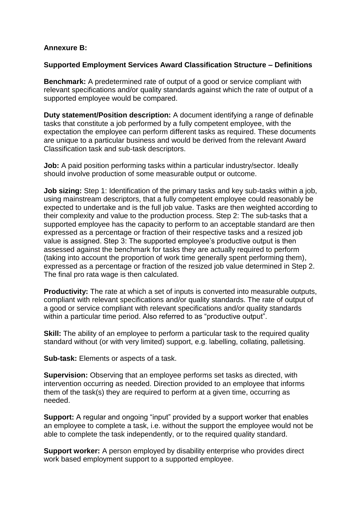### **Annexure B:**

### **Supported Employment Services Award Classification Structure – Definitions**

**Benchmark:** A predetermined rate of output of a good or service compliant with relevant specifications and/or quality standards against which the rate of output of a supported employee would be compared.

**Duty statement/Position description:** A document identifying a range of definable tasks that constitute a job performed by a fully competent employee, with the expectation the employee can perform different tasks as required. These documents are unique to a particular business and would be derived from the relevant Award Classification task and sub-task descriptors.

**Job:** A paid position performing tasks within a particular industry/sector. Ideally should involve production of some measurable output or outcome.

**Job sizing:** Step 1: Identification of the primary tasks and key sub-tasks within a job, using mainstream descriptors, that a fully competent employee could reasonably be expected to undertake and is the full job value. Tasks are then weighted according to their complexity and value to the production process. Step 2: The sub-tasks that a supported employee has the capacity to perform to an acceptable standard are then expressed as a percentage or fraction of their respective tasks and a resized job value is assigned. Step 3: The supported employee's productive output is then assessed against the benchmark for tasks they are actually required to perform (taking into account the proportion of work time generally spent performing them), expressed as a percentage or fraction of the resized job value determined in Step 2. The final pro rata wage is then calculated.

**Productivity:** The rate at which a set of inputs is converted into measurable outputs, compliant with relevant specifications and/or quality standards. The rate of output of a good or service compliant with relevant specifications and/or quality standards within a particular time period. Also referred to as "productive output".

**Skill:** The ability of an employee to perform a particular task to the required quality standard without (or with very limited) support, e.g. labelling, collating, palletising.

**Sub-task:** Elements or aspects of a task.

**Supervision:** Observing that an employee performs set tasks as directed, with intervention occurring as needed. Direction provided to an employee that informs them of the task(s) they are required to perform at a given time, occurring as needed.

**Support:** A regular and ongoing "input" provided by a support worker that enables an employee to complete a task, i.e. without the support the employee would not be able to complete the task independently, or to the required quality standard.

**Support worker:** A person employed by disability enterprise who provides direct work based employment support to a supported employee.